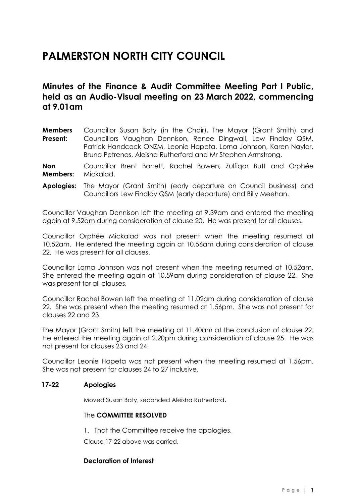# **PALMERSTON NORTH CITY COUNCIL**

# **Minutes of the Finance & Audit Committee Meeting Part I Public, held as an Audio-Visual meeting on 23 March 2022, commencing at 9.01am**

**Members Present:** Councillor Susan Baty (in the Chair), The Mayor (Grant Smith) and Councillors Vaughan Dennison, Renee Dingwall, Lew Findlay QSM, Patrick Handcock ONZM, Leonie Hapeta, Lorna Johnson, Karen Naylor, Bruno Petrenas, Aleisha Rutherford and Mr Stephen Armstrong.

**Non Members:** Councillor Brent Barrett, Rachel Bowen, Zulfiqar Butt and Orphée Mickalad.

**Apologies:** The Mayor (Grant Smith) (early departure on Council business) and Councillors Lew Findlay QSM (early departure) and Billy Meehan.

Councillor Vaughan Dennison left the meeting at 9.39am and entered the meeting again at 9.52am during consideration of clause 20. He was present for all clauses.

Councillor Orphée Mickalad was not present when the meeting resumed at 10.52am. He entered the meeting again at 10.56am during consideration of clause 22. He was present for all clauses.

Councillor Lorna Johnson was not present when the meeting resumed at 10.52am. She entered the meeting again at 10.59am during consideration of clause 22. She was present for all clauses.

Councillor Rachel Bowen left the meeting at 11.02am during consideration of clause 22. She was present when the meeting resumed at 1.56pm. She was not present for clauses 22 and 23.

The Mayor (Grant Smith) left the meeting at 11.40am at the conclusion of clause 22. He entered the meeting again at 2.20pm during consideration of clause 25. He was not present for clauses 23 and 24.

Councillor Leonie Hapeta was not present when the meeting resumed at 1.56pm. She was not present for clauses 24 to 27 inclusive.

#### **17-22 Apologies**

Moved Susan Baty, seconded Aleisha Rutherford.

#### The **COMMITTEE RESOLVED**

1. That the Committee receive the apologies.

Clause 17-22 above was carried.

#### **Declaration of Interest**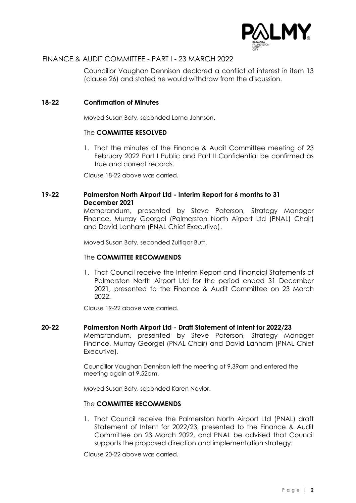

Councillor Vaughan Dennison declared a conflict of interest in item 13 (clause 26) and stated he would withdraw from the discussion.

#### **18-22 Confirmation of Minutes**

Moved Susan Baty, seconded Lorna Johnson.

#### The **COMMITTEE RESOLVED**

1. That the minutes of the Finance & Audit Committee meeting of 23 February 2022 Part I Public and Part II Confidential be confirmed as true and correct records.

Clause 18-22 above was carried.

#### **19-22 Palmerston North Airport Ltd - Interim Report for 6 months to 31 December 2021**

Memorandum, presented by Steve Paterson, Strategy Manager Finance, Murray Georgel (Palmerston North Airport Ltd (PNAL) Chair) and David Lanham (PNAL Chief Executive).

Moved Susan Baty, seconded Zulfiqar Butt.

#### The **COMMITTEE RECOMMENDS**

1. That Council receive the Interim Report and Financial Statements of Palmerston North Airport Ltd for the period ended 31 December 2021, presented to the Finance & Audit Committee on 23 March 2022.

Clause 19-22 above was carried.

#### **20-22 Palmerston North Airport Ltd - Draft Statement of Intent for 2022/23**

Memorandum, presented by Steve Paterson, Strategy Manager Finance, Murray Georgel (PNAL Chair) and David Lanham (PNAL Chief Executive).

Councillor Vaughan Dennison left the meeting at 9.39am and entered the meeting again at 9.52am.

Moved Susan Baty, seconded Karen Naylor.

#### The **COMMITTEE RECOMMENDS**

1. That Council receive the Palmerston North Airport Ltd (PNAL) draft Statement of Intent for 2022/23, presented to the Finance & Audit Committee on 23 March 2022, and PNAL be advised that Council supports the proposed direction and implementation strategy.

Clause 20-22 above was carried.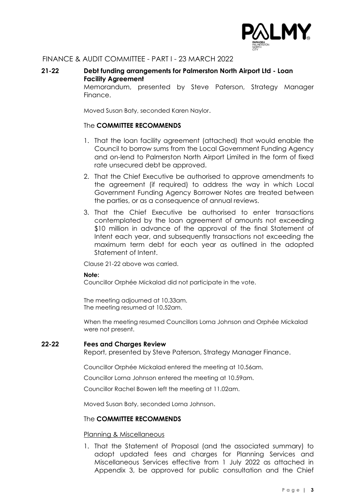

**21-22 Debt funding arrangements for Palmerston North Airport Ltd - Loan Facility Agreement**

Memorandum, presented by Steve Paterson, Strategy Manager Finance.

Moved Susan Baty, seconded Karen Naylor.

#### The **COMMITTEE RECOMMENDS**

- 1. That the loan facility agreement (attached) that would enable the Council to borrow sums from the Local Government Funding Agency and on-lend to Palmerston North Airport Limited in the form of fixed rate unsecured debt be approved.
- 2. That the Chief Executive be authorised to approve amendments to the agreement (if required) to address the way in which Local Government Funding Agency Borrower Notes are treated between the parties, or as a consequence of annual reviews.
- 3. That the Chief Executive be authorised to enter transactions contemplated by the loan agreement of amounts not exceeding \$10 million in advance of the approval of the final Statement of Intent each year, and subsequently transactions not exceeding the maximum term debt for each year as outlined in the adopted Statement of Intent.

Clause 21-22 above was carried.

#### **Note:**

Councillor Orphée Mickalad did not participate in the vote.

The meeting adjourned at 10.33am. The meeting resumed at 10.52am.

When the meeting resumed Councillors Lorna Johnson and Orphée Mickalad were not present.

#### **22-22 Fees and Charges Review**

Report, presented by Steve Paterson, Strategy Manager Finance.

Councillor Orphée Mickalad entered the meeting at 10.56am.

Councillor Lorna Johnson entered the meeting at 10.59am.

Councillor Rachel Bowen left the meeting at 11.02am.

Moved Susan Baty, seconded Lorna Johnson.

#### The **COMMITTEE RECOMMENDS**

#### Planning & Miscellaneous

1. That the Statement of Proposal (and the associated summary) to adopt updated fees and charges for Planning Services and Miscellaneous Services effective from 1 July 2022 as attached in Appendix 3, be approved for public consultation and the Chief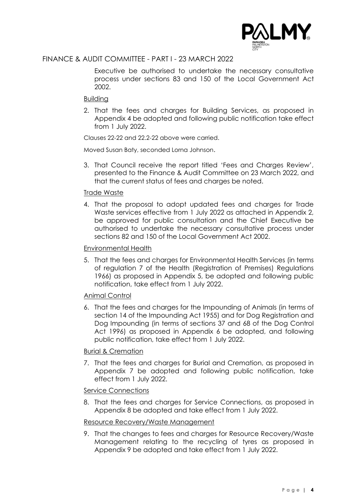

Executive be authorised to undertake the necessary consultative process under sections 83 and 150 of the Local Government Act 2002.

#### Building

2. That the fees and charges for Building Services, as proposed in Appendix 4 be adopted and following public notification take effect from 1 July 2022.

Clauses 22-22 and 22.2-22 above were carried.

Moved Susan Baty, seconded Lorna Johnson.

3. That Council receive the report titled 'Fees and Charges Review', presented to the Finance & Audit Committee on 23 March 2022, and that the current status of fees and charges be noted.

#### Trade Waste

4. That the proposal to adopt updated fees and charges for Trade Waste services effective from 1 July 2022 as attached in Appendix 2, be approved for public consultation and the Chief Executive be authorised to undertake the necessary consultative process under sections 82 and 150 of the Local Government Act 2002.

#### Environmental Health

5. That the fees and charges for Environmental Health Services (in terms of regulation 7 of the Health (Registration of Premises) Regulations 1966) as proposed in Appendix 5, be adopted and following public notification, take effect from 1 July 2022.

#### Animal Control

6. That the fees and charges for the Impounding of Animals (in terms of section 14 of the Impounding Act 1955) and for Dog Registration and Dog Impounding (in terms of sections 37 and 68 of the Dog Control Act 1996) as proposed in Appendix 6 be adopted, and following public notification, take effect from 1 July 2022.

#### Burial & Cremation

7. That the fees and charges for Burial and Cremation, as proposed in Appendix 7 be adopted and following public notification, take effect from 1 July 2022.

#### Service Connections

8. That the fees and charges for Service Connections, as proposed in Appendix 8 be adopted and take effect from 1 July 2022.

#### Resource Recovery/Waste Management

9. That the changes to fees and charges for Resource Recovery/Waste Management relating to the recycling of tyres as proposed in Appendix 9 be adopted and take effect from 1 July 2022.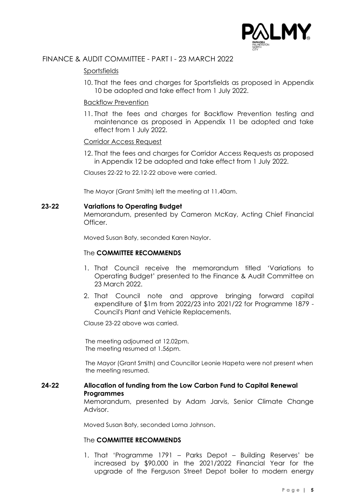

### Sportsfields

10. That the fees and charges for Sportsfields as proposed in Appendix 10 be adopted and take effect from 1 July 2022.

#### Backflow Prevention

11. That the fees and charges for Backflow Prevention testing and maintenance as proposed in Appendix 11 be adopted and take effect from 1 July 2022.

#### Corridor Access Request

12. That the fees and charges for Corridor Access Requests as proposed in Appendix 12 be adopted and take effect from 1 July 2022.

Clauses 22-22 to 22.12-22 above were carried.

The Mayor (Grant Smith) left the meeting at 11.40am.

#### **23-22 Variations to Operating Budget**

Memorandum, presented by Cameron McKay, Acting Chief Financial Officer.

Moved Susan Baty, seconded Karen Naylor.

#### The **COMMITTEE RECOMMENDS**

- 1. That Council receive the memorandum titled 'Variations to Operating Budget' presented to the Finance & Audit Committee on 23 March 2022.
- 2. That Council note and approve bringing forward capital expenditure of \$1m from 2022/23 into 2021/22 for Programme 1879 - Council's Plant and Vehicle Replacements.

Clause 23-22 above was carried.

The meeting adjourned at 12.02pm. The meeting resumed at 1.56pm.

The Mayor (Grant Smith) and Councillor Leonie Hapeta were not present when the meeting resumed.

#### **24-22 Allocation of funding from the Low Carbon Fund to Capital Renewal Programmes**

Memorandum, presented by Adam Jarvis, Senior Climate Change Advisor.

Moved Susan Baty, seconded Lorna Johnson.

#### The **COMMITTEE RECOMMENDS**

1. That 'Programme 1791 – Parks Depot – Building Reserves' be increased by \$90,000 in the 2021/2022 Financial Year for the upgrade of the Ferguson Street Depot boiler to modern energy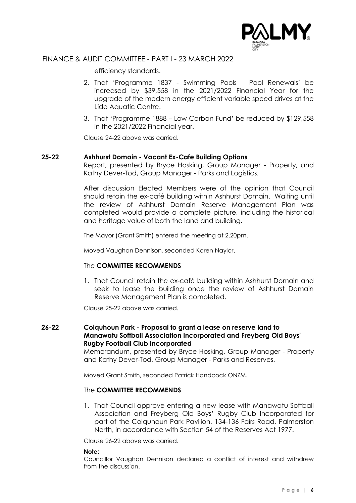

efficiency standards.

- 2. That 'Programme 1837 Swimming Pools Pool Renewals' be increased by \$39,558 in the 2021/2022 Financial Year for the upgrade of the modern energy efficient variable speed drives at the Lido Aquatic Centre.
- 3. That 'Programme 1888 Low Carbon Fund' be reduced by \$129,558 in the 2021/2022 Financial year.

Clause 24-22 above was carried.

#### **25-22 Ashhurst Domain - Vacant Ex-Cafe Building Options**

Report, presented by Bryce Hosking, Group Manager - Property, and Kathy Dever-Tod, Group Manager - Parks and Logistics.

After discussion Elected Members were of the opinion that Council should retain the ex-café building within Ashhurst Domain. Waiting until the review of Ashhurst Domain Reserve Management Plan was completed would provide a complete picture, including the historical and heritage value of both the land and building.

The Mayor (Grant Smith) entered the meeting at 2.20pm.

Moved Vaughan Dennison, seconded Karen Naylor.

#### The **COMMITTEE RECOMMENDS**

1. That Council retain the ex-café building within Ashhurst Domain and seek to lease the building once the review of Ashhurst Domain Reserve Management Plan is completed.

Clause 25-22 above was carried.

## **26-22 Colquhoun Park - Proposal to grant a lease on reserve land to Manawatu Softball Association Incorporated and Freyberg Old Boys' Rugby Football Club Incorporated**

Memorandum, presented by Bryce Hosking, Group Manager - Property and Kathy Dever-Tod, Group Manager - Parks and Reserves.

Moved Grant Smith, seconded Patrick Handcock ONZM.

#### The **COMMITTEE RECOMMENDS**

1. That Council approve entering a new lease with Manawatu Softball Association and Freyberg Old Boys' Rugby Club Incorporated for part of the Colquhoun Park Pavilion, 134-136 Fairs Road, Palmerston North, in accordance with Section 54 of the Reserves Act 1977.

Clause 26-22 above was carried.

#### **Note:**

Councillor Vaughan Dennison declared a conflict of interest and withdrew from the discussion.